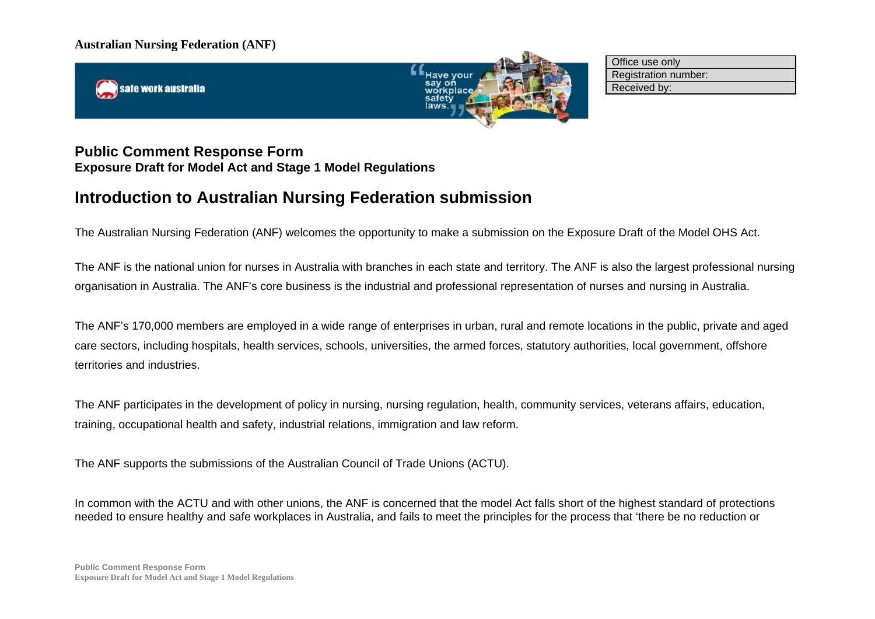safe work australia



Office use only Registration number: Received by:

# **Public Comment Response Form Exposure Draft for Model Act and Stage 1 Model Regulations**

# **Introduction to Australian Nursing Federation submission**

The Australian Nursing Federation (ANF) welcomes the opportunity to make a submission on the Exposure Draft of the Model OHS Act.

The ANF is the national union for nurses in Australia with branches in each state and territory. The ANF is also the largest professional nursing organisation in Australia. The ANF's core business is the industrial and professional representation of nurses and nursing in Australia.

The ANF's 170,000 members are employed in a wide range of enterprises in urban, rural and remote locations in the public, private and aged care sectors, including hospitals, health services, schools, universities, the armed forces, statutory authorities, local government, offshore territories and industries.

The ANF participates in the development of policy in nursing, nursing regulation, health, community services, veterans affairs, education, training, occupational health and safety, industrial relations, immigration and law reform.

The ANF supports the submissions of the Australian Council of Trade Unions (ACTU).

In common with the ACTU and with other unions, the ANF is concerned that the model Act falls short of the highest standard of protections needed to ensure healthy and safe workplaces in Australia, and fails to meet the principles for the process that 'there be no reduction or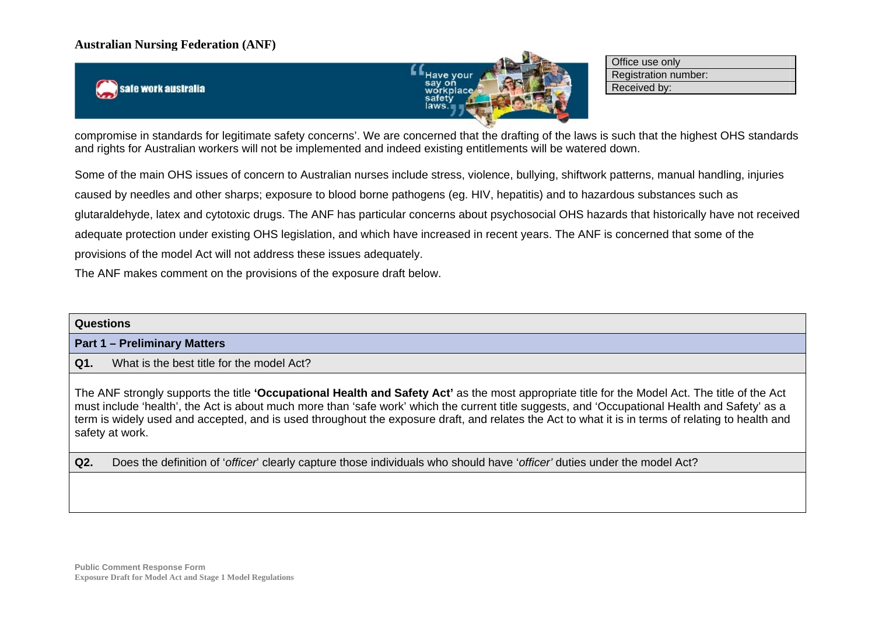safe work australia



Office use only Registration number: Received by:

compromise in standards for legitimate safety concerns'. We are concerned that the drafting of the laws is such that the highest OHS standards and rights for Australian workers will not be implemented and indeed existing entitlements will be watered down.

Some of the main OHS issues of concern to Australian nurses include stress, violence, bullying, shiftwork patterns, manual handling, injuries caused by needles and other sharps; exposure to blood borne pathogens (eg. HIV, hepatitis) and to hazardous substances such as glutaraldehyde, latex and cytotoxic drugs. The ANF has particular concerns about psychosocial OHS hazards that historically have not received adequate protection under existing OHS legislation, and which have increased in recent years. The ANF is concerned that some of the provisions of the model Act will not address these issues adequately.

The ANF makes comment on the provisions of the exposure draft below.

| <b>Questions</b>                                                                                                                                                                                                                                                                                                                                                                                                                                                         |
|--------------------------------------------------------------------------------------------------------------------------------------------------------------------------------------------------------------------------------------------------------------------------------------------------------------------------------------------------------------------------------------------------------------------------------------------------------------------------|
| <b>Part 1 – Preliminary Matters</b>                                                                                                                                                                                                                                                                                                                                                                                                                                      |
| Q1.<br>What is the best title for the model Act?                                                                                                                                                                                                                                                                                                                                                                                                                         |
| The ANF strongly supports the title 'Occupational Health and Safety Act' as the most appropriate title for the Model Act. The title of the Act<br>must include 'health', the Act is about much more than 'safe work' which the current title suggests, and 'Occupational Health and Safety' as a<br>term is widely used and accepted, and is used throughout the exposure draft, and relates the Act to what it is in terms of relating to health and<br>safety at work. |
| Q2.<br>Does the definition of 'officer' clearly capture those individuals who should have 'officer' duties under the model Act?                                                                                                                                                                                                                                                                                                                                          |
|                                                                                                                                                                                                                                                                                                                                                                                                                                                                          |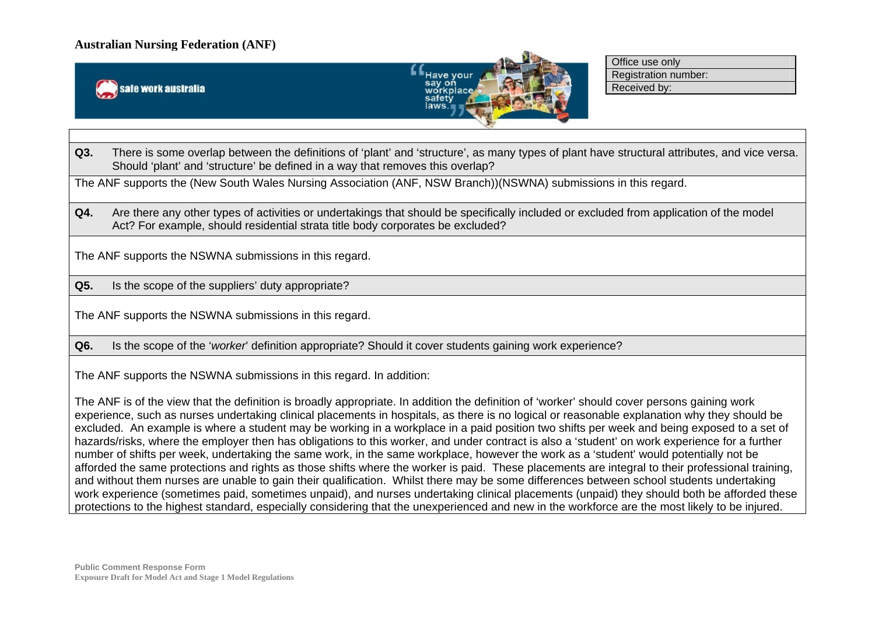



Office use only Registration number: Received by:

**Q3.** There is some overlap between the definitions of 'plant' and 'structure', as many types of plant have structural attributes, and vice versa. Should 'plant' and 'structure' be defined in a way that removes this overlap?

The ANF supports the (New South Wales Nursing Association (ANF, NSW Branch))(NSWNA) submissions in this regard.

Q4. Are there any other types of activities or undertakings that should be specifically included or excluded from application of the model Act? For example, should residential strata title body corporates be excluded?

The ANF supports the NSWNA submissions in this regard.

**Q5.** Is the scope of the suppliers' duty appropriate?

The ANF supports the NSWNA submissions in this regard.

**Q6.** Is the scope of the '*worker*' definition appropriate? Should it cover students gaining work experience?

The ANF supports the NSWNA submissions in this regard. In addition:

The ANF is of the view that the definition is broadly appropriate. In addition the definition of 'worker' should cover persons gaining work experience, such as nurses undertaking clinical placements in hospitals, as there is no logical or reasonable explanation why they should be excluded. An example is where a student may be working in a workplace in a paid position two shifts per week and being exposed to a set of hazards/risks, where the employer then has obligations to this worker, and under contract is also a 'student' on work experience for a further number of shifts per week, undertaking the same work, in the same workplace, however the work as a 'student' would potentially not be afforded the same protections and rights as those shifts where the worker is paid. These placements are integral to their professional training, and without them nurses are unable to gain their qualification. Whilst there may be some differences between school students undertaking work experience (sometimes paid, sometimes unpaid), and nurses undertaking clinical placements (unpaid) they should both be afforded these protections to the highest standard, especially considering that the unexperienced and new in the workforce are the most likely to be injured.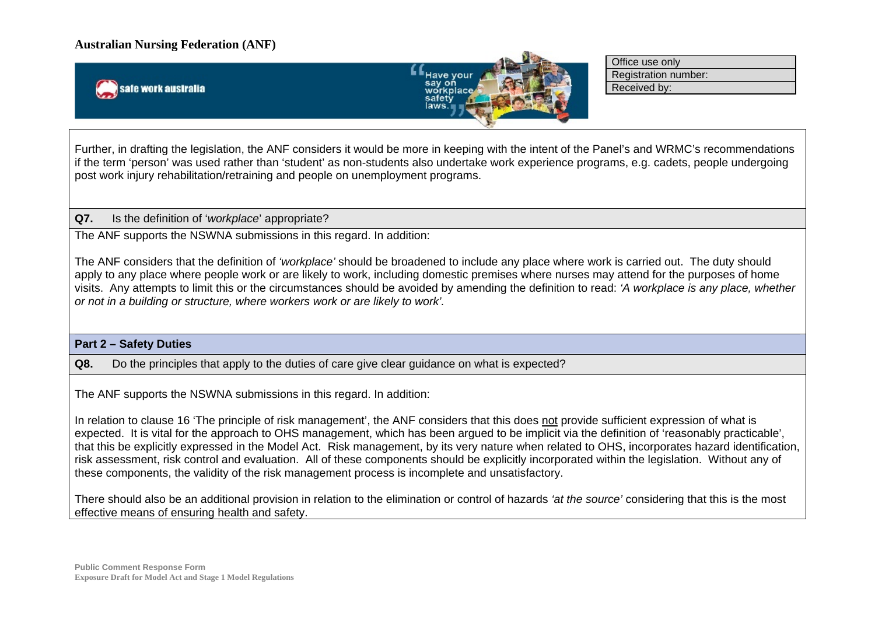safe work australia



Office use only Registration number: Received by:

Further, in drafting the legislation, the ANF considers it would be more in keeping with the intent of the Panel's and WRMC's recommendations if the term 'person' was used rather than 'student' as non-students also undertake work experience programs, e.g. cadets, people undergoing post work injury rehabilitation/retraining and people on unemployment programs.

#### **Q7.** Is the definition of '*workplace*' appropriate?

The ANF supports the NSWNA submissions in this regard. In addition:

The ANF considers that the definition of *'workplace'* should be broadened to include any place where work is carried out. The duty should apply to any place where people work or are likely to work, including domestic premises where nurses may attend for the purposes of home visits. Any attempts to limit this or the circumstances should be avoided by amending the definition to read: *'A workplace is any place, whether or not in a building or structure, where workers work or are likely to work'.*

#### **Part 2 – Safety Duties**

**Q8.** Do the principles that apply to the duties of care give clear guidance on what is expected?

The ANF supports the NSWNA submissions in this regard. In addition:

In relation to clause 16 'The principle of risk management', the ANF considers that this does not provide sufficient expression of what is expected. It is vital for the approach to OHS management, which has been argued to be implicit via the definition of 'reasonably practicable', that this be explicitly expressed in the Model Act. Risk management, by its very nature when related to OHS, incorporates hazard identification, risk assessment, risk control and evaluation. All of these components should be explicitly incorporated within the legislation. Without any of these components, the validity of the risk management process is incomplete and unsatisfactory.

There should also be an additional provision in relation to the elimination or control of hazards *'at the source'* considering that this is the most effective means of ensuring health and safety.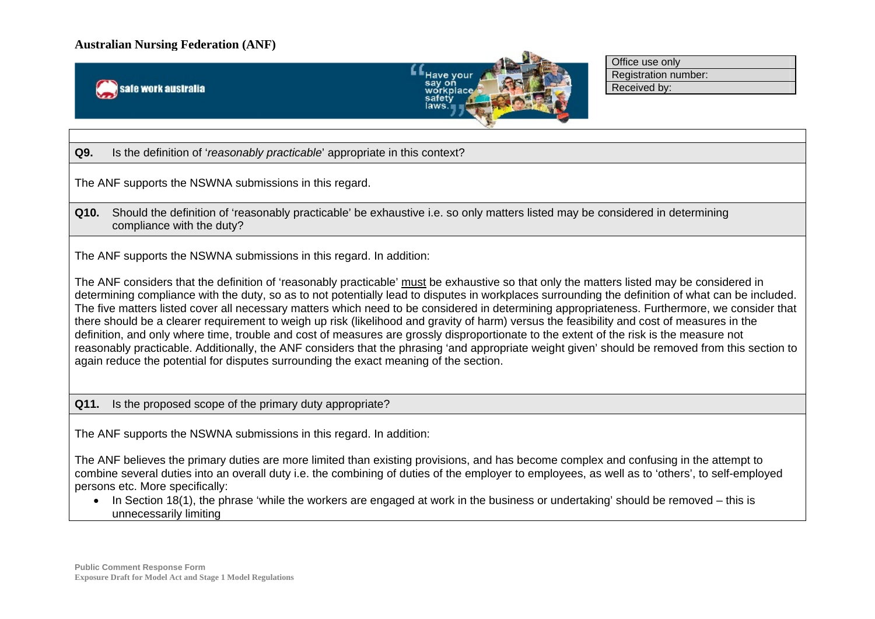



Office use only Registration number: Received by:

**Q9.** Is the definition of '*reasonably practicable*' appropriate in this context?

The ANF supports the NSWNA submissions in this regard.

**Q10.** Should the definition of 'reasonably practicable' be exhaustive i.e. so only matters listed may be considered in determining compliance with the duty?

The ANF supports the NSWNA submissions in this regard. In addition:

The ANF considers that the definition of 'reasonably practicable' must be exhaustive so that only the matters listed may be considered in determining compliance with the duty, so as to not potentially lead to disputes in workplaces surrounding the definition of what can be included. The five matters listed cover all necessary matters which need to be considered in determining appropriateness. Furthermore, we consider that there should be a clearer requirement to weigh up risk (likelihood and gravity of harm) versus the feasibility and cost of measures in the definition, and only where time, trouble and cost of measures are grossly disproportionate to the extent of the risk is the measure not reasonably practicable. Additionally, the ANF considers that the phrasing 'and appropriate weight given' should be removed from this section to again reduce the potential for disputes surrounding the exact meaning of the section.

**Q11.** Is the proposed scope of the primary duty appropriate?

The ANF supports the NSWNA submissions in this regard. In addition:

The ANF believes the primary duties are more limited than existing provisions, and has become complex and confusing in the attempt to combine several duties into an overall duty i.e. the combining of duties of the employer to employees, as well as to 'others', to self-employed persons etc. More specifically:

• In Section 18(1), the phrase 'while the workers are engaged at work in the business or undertaking' should be removed – this is unnecessarily limiting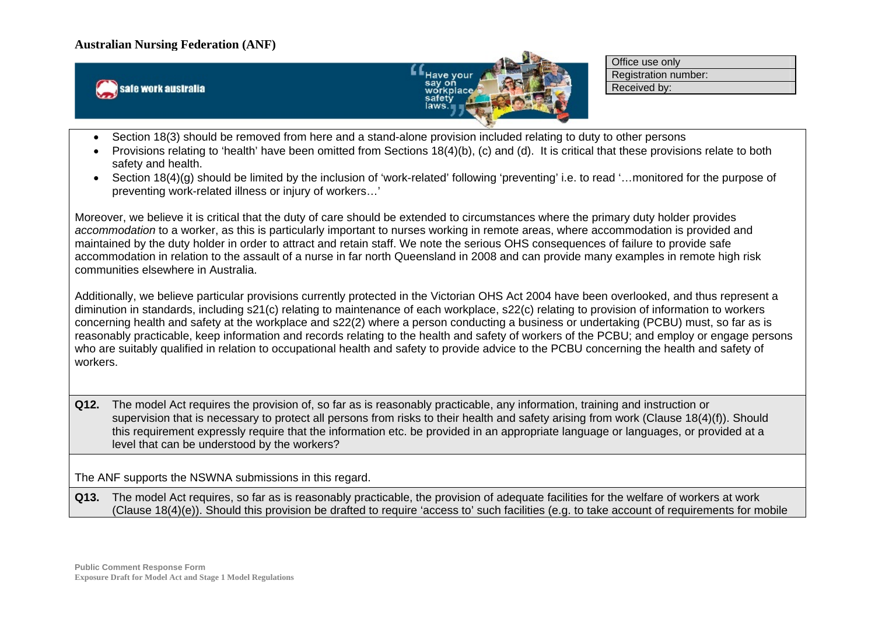



Office use only Registration number: Received by:

- Section 18(3) should be removed from here and a stand-alone provision included relating to duty to other persons
- Provisions relating to 'health' have been omitted from Sections 18(4)(b), (c) and (d). It is critical that these provisions relate to both safety and health.
- Section 18(4)(g) should be limited by the inclusion of 'work-related' following 'preventing' i.e. to read '…monitored for the purpose of preventing work-related illness or injury of workers…'

Moreover, we believe it is critical that the duty of care should be extended to circumstances where the primary duty holder provides *accommodation* to a worker, as this is particularly important to nurses working in remote areas, where accommodation is provided and maintained by the duty holder in order to attract and retain staff. We note the serious OHS consequences of failure to provide safe accommodation in relation to the assault of a nurse in far north Queensland in 2008 and can provide many examples in remote high risk communities elsewhere in Australia.

Additionally, we believe particular provisions currently protected in the Victorian OHS Act 2004 have been overlooked, and thus represent a diminution in standards, including s21(c) relating to maintenance of each workplace, s22(c) relating to provision of information to workers concerning health and safety at the workplace and s22(2) where a person conducting a business or undertaking (PCBU) must, so far as is reasonably practicable, keep information and records relating to the health and safety of workers of the PCBU; and employ or engage persons who are suitably qualified in relation to occupational health and safety to provide advice to the PCBU concerning the health and safety of workers.

**Q12.** The model Act requires the provision of, so far as is reasonably practicable, any information, training and instruction or supervision that is necessary to protect all persons from risks to their health and safety arising from work (Clause 18(4)(f)). Should this requirement expressly require that the information etc. be provided in an appropriate language or languages, or provided at a level that can be understood by the workers?

The ANF supports the NSWNA submissions in this regard.

**Q13.** The model Act requires, so far as is reasonably practicable, the provision of adequate facilities for the welfare of workers at work (Clause 18(4)(e)). Should this provision be drafted to require 'access to' such facilities (e.g. to take account of requirements for mobile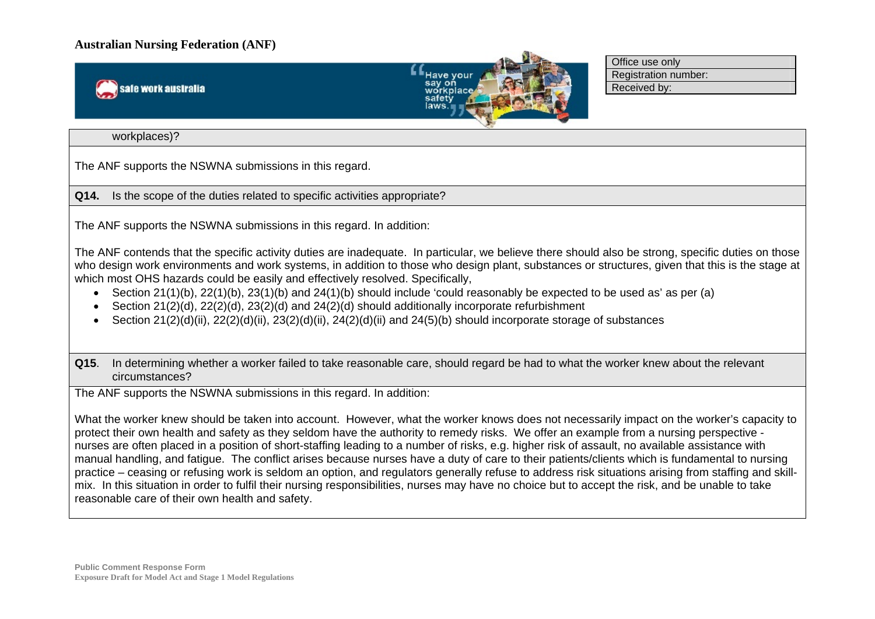safe work australia



Office use only Registration number: Received by:

#### workplaces)?

The ANF supports the NSWNA submissions in this regard.

**Q14.** Is the scope of the duties related to specific activities appropriate?

The ANF supports the NSWNA submissions in this regard. In addition:

The ANF contends that the specific activity duties are inadequate. In particular, we believe there should also be strong, specific duties on those who design work environments and work systems, in addition to those who design plant, substances or structures, given that this is the stage at which most OHS hazards could be easily and effectively resolved. Specifically,

- Section 21(1)(b), 22(1)(b), 23(1)(b) and 24(1)(b) should include 'could reasonably be expected to be used as' as per (a)
- Section 21(2)(d), 22(2)(d), 23(2)(d) and 24(2)(d) should additionally incorporate refurbishment
- Section  $21(2)(d)(ii)$ ,  $22(2)(d)(ii)$ ,  $23(2)(d)(ii)$ ,  $24(2)(d)(ii)$  and  $24(5)(b)$  should incorporate storage of substances

**Q15**. In determining whether a worker failed to take reasonable care, should regard be had to what the worker knew about the relevant circumstances?

The ANF supports the NSWNA submissions in this regard. In addition:

What the worker knew should be taken into account. However, what the worker knows does not necessarily impact on the worker's capacity to protect their own health and safety as they seldom have the authority to remedy risks. We offer an example from a nursing perspective nurses are often placed in a position of short-staffing leading to a number of risks, e.g. higher risk of assault, no available assistance with manual handling, and fatigue. The conflict arises because nurses have a duty of care to their patients/clients which is fundamental to nursing practice – ceasing or refusing work is seldom an option, and regulators generally refuse to address risk situations arising from staffing and skillmix. In this situation in order to fulfil their nursing responsibilities, nurses may have no choice but to accept the risk, and be unable to take reasonable care of their own health and safety.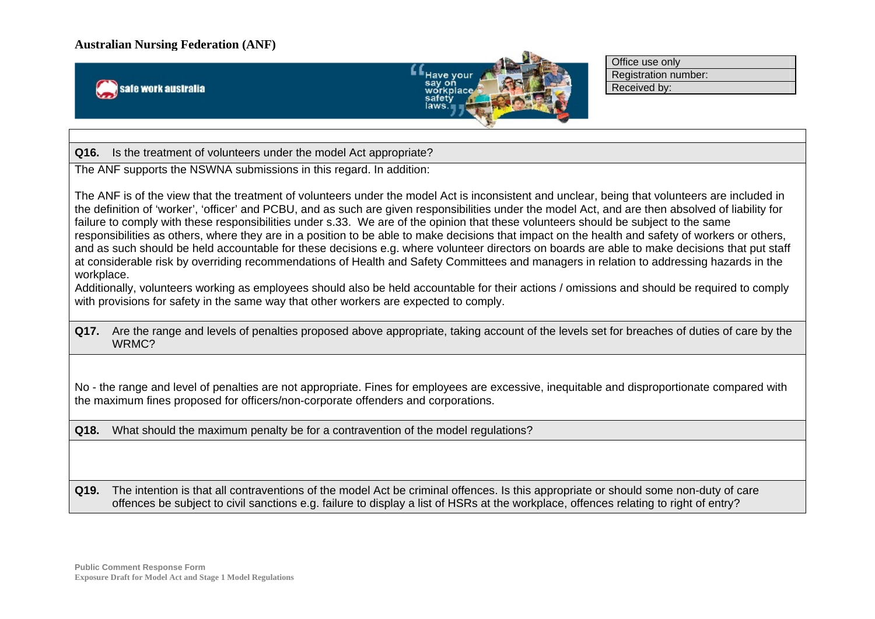



Office use only Registration number: Received by:

**Q16.** Is the treatment of volunteers under the model Act appropriate?

The ANF supports the NSWNA submissions in this regard. In addition:

The ANF is of the view that the treatment of volunteers under the model Act is inconsistent and unclear, being that volunteers are included in the definition of 'worker', 'officer' and PCBU, and as such are given responsibilities under the model Act, and are then absolved of liability for failure to comply with these responsibilities under s.33. We are of the opinion that these volunteers should be subject to the same responsibilities as others, where they are in a position to be able to make decisions that impact on the health and safety of workers or others, and as such should be held accountable for these decisions e.g. where volunteer directors on boards are able to make decisions that put staff at considerable risk by overriding recommendations of Health and Safety Committees and managers in relation to addressing hazards in the workplace.

Additionally, volunteers working as employees should also be held accountable for their actions / omissions and should be required to comply with provisions for safety in the same way that other workers are expected to comply.

**Q17.** Are the range and levels of penalties proposed above appropriate, taking account of the levels set for breaches of duties of care by the WRMC?

No - the range and level of penalties are not appropriate. Fines for employees are excessive, inequitable and disproportionate compared with the maximum fines proposed for officers/non-corporate offenders and corporations.

**Q18.** What should the maximum penalty be for a contravention of the model regulations?

**Q19.** The intention is that all contraventions of the model Act be criminal offences. Is this appropriate or should some non-duty of care offences be subject to civil sanctions e.g. failure to display a list of HSRs at the workplace, offences relating to right of entry?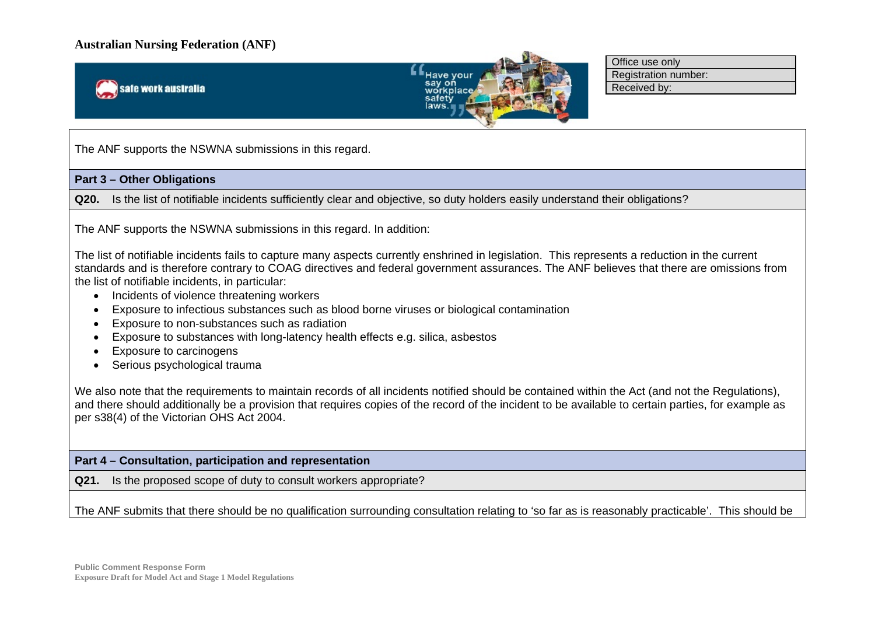



Office use only Registration number: Received by:

The ANF supports the NSWNA submissions in this regard.

#### **Part 3 – Other Obligations**

**Q20.** Is the list of notifiable incidents sufficiently clear and objective, so duty holders easily understand their obligations?

The ANF supports the NSWNA submissions in this regard. In addition:

The list of notifiable incidents fails to capture many aspects currently enshrined in legislation. This represents a reduction in the current standards and is therefore contrary to COAG directives and federal government assurances. The ANF believes that there are omissions from the list of notifiable incidents, in particular:

- Incidents of violence threatening workers
- Exposure to infectious substances such as blood borne viruses or biological contamination
- Exposure to non-substances such as radiation
- Exposure to substances with long-latency health effects e.g. silica, asbestos
- Exposure to carcinogens
- Serious psychological trauma

We also note that the requirements to maintain records of all incidents notified should be contained within the Act (and not the Regulations). and there should additionally be a provision that requires copies of the record of the incident to be available to certain parties, for example as per s38(4) of the Victorian OHS Act 2004.

### **Part 4 – Consultation, participation and representation**

**Q21.** Is the proposed scope of duty to consult workers appropriate?

The ANF submits that there should be no qualification surrounding consultation relating to 'so far as is reasonably practicable'. This should be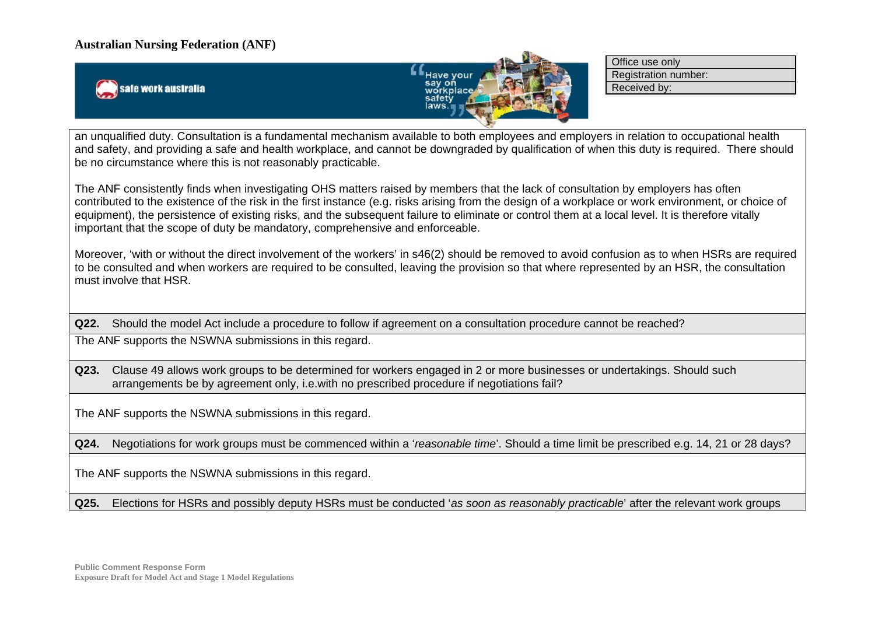safe work australia



Office use only Registration number: Received by:

an unqualified duty. Consultation is a fundamental mechanism available to both employees and employers in relation to occupational health and safety, and providing a safe and health workplace, and cannot be downgraded by qualification of when this duty is required. There should be no circumstance where this is not reasonably practicable.

The ANF consistently finds when investigating OHS matters raised by members that the lack of consultation by employers has often contributed to the existence of the risk in the first instance (e.g. risks arising from the design of a workplace or work environment, or choice of equipment), the persistence of existing risks, and the subsequent failure to eliminate or control them at a local level. It is therefore vitally important that the scope of duty be mandatory, comprehensive and enforceable.

Moreover, 'with or without the direct involvement of the workers' in s46(2) should be removed to avoid confusion as to when HSRs are required to be consulted and when workers are required to be consulted, leaving the provision so that where represented by an HSR, the consultation must involve that HSR.

**Q22.** Should the model Act include a procedure to follow if agreement on a consultation procedure cannot be reached? The ANF supports the NSWNA submissions in this regard.

**Q23.** Clause 49 allows work groups to be determined for workers engaged in 2 or more businesses or undertakings. Should such arrangements be by agreement only, i.e.with no prescribed procedure if negotiations fail?

The ANF supports the NSWNA submissions in this regard.

**Q24.** Negotiations for work groups must be commenced within a '*reasonable time*'. Should a time limit be prescribed e.g. 14, 21 or 28 days?

The ANF supports the NSWNA submissions in this regard.

**Q25.** Elections for HSRs and possibly deputy HSRs must be conducted '*as soon as reasonably practicable*' after the relevant work groups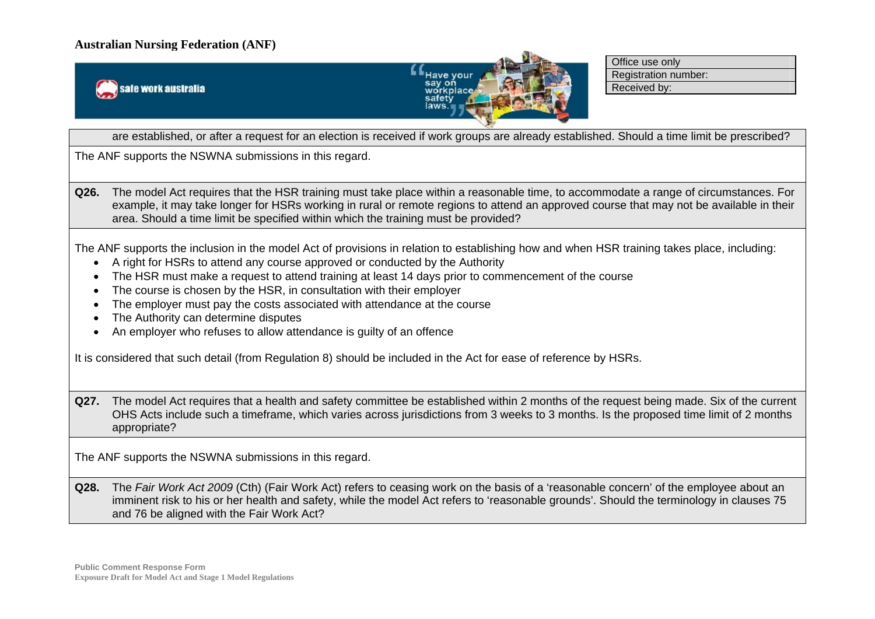



Office use only Registration number: Received by:

are established, or after a request for an election is received if work groups are already established. Should a time limit be prescribed?

The ANF supports the NSWNA submissions in this regard.

**Q26.** The model Act requires that the HSR training must take place within a reasonable time, to accommodate a range of circumstances. For example, it may take longer for HSRs working in rural or remote regions to attend an approved course that may not be available in their area. Should a time limit be specified within which the training must be provided?

The ANF supports the inclusion in the model Act of provisions in relation to establishing how and when HSR training takes place, including:

- A right for HSRs to attend any course approved or conducted by the Authority
- The HSR must make a request to attend training at least 14 days prior to commencement of the course
- The course is chosen by the HSR, in consultation with their employer
- The employer must pay the costs associated with attendance at the course
- The Authority can determine disputes
- An employer who refuses to allow attendance is guilty of an offence

It is considered that such detail (from Regulation 8) should be included in the Act for ease of reference by HSRs.

**Q27.** The model Act requires that a health and safety committee be established within 2 months of the request being made. Six of the current OHS Acts include such a timeframe, which varies across jurisdictions from 3 weeks to 3 months. Is the proposed time limit of 2 months appropriate?

The ANF supports the NSWNA submissions in this regard.

**Q28.** The *Fair Work Act 2009* (Cth) (Fair Work Act) refers to ceasing work on the basis of a 'reasonable concern' of the employee about an imminent risk to his or her health and safety, while the model Act refers to 'reasonable grounds'. Should the terminology in clauses 75 and 76 be aligned with the Fair Work Act?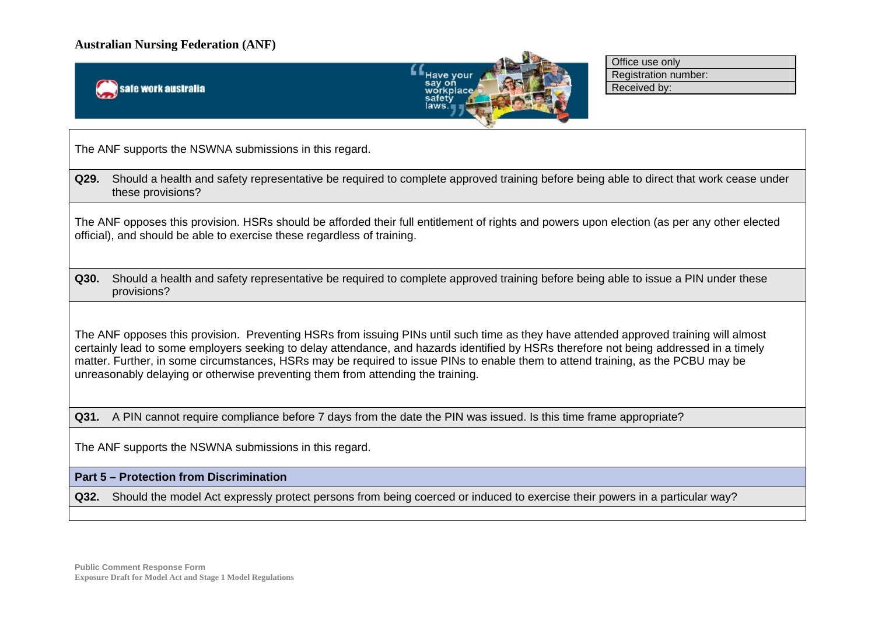



Office use only Registration number: Received by:

The ANF supports the NSWNA submissions in this regard.

**Q29.** Should a health and safety representative be required to complete approved training before being able to direct that work cease under these provisions?

The ANF opposes this provision. HSRs should be afforded their full entitlement of rights and powers upon election (as per any other elected official), and should be able to exercise these regardless of training.

**Q30.** Should a health and safety representative be required to complete approved training before being able to issue a PIN under these provisions?

The ANF opposes this provision. Preventing HSRs from issuing PINs until such time as they have attended approved training will almost certainly lead to some employers seeking to delay attendance, and hazards identified by HSRs therefore not being addressed in a timely matter. Further, in some circumstances, HSRs may be required to issue PINs to enable them to attend training, as the PCBU may be unreasonably delaying or otherwise preventing them from attending the training.

**Q31.** A PIN cannot require compliance before 7 days from the date the PIN was issued. Is this time frame appropriate?

The ANF supports the NSWNA submissions in this regard.

#### **Part 5 – Protection from Discrimination**

**Q32.** Should the model Act expressly protect persons from being coerced or induced to exercise their powers in a particular way?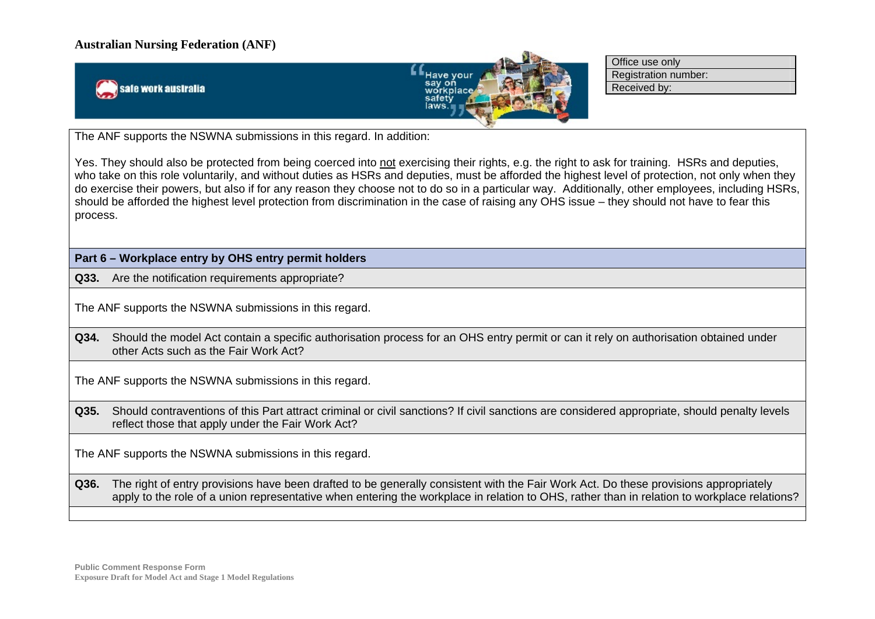safe work australia



Office use only Registration number: Received by:

The ANF supports the NSWNA submissions in this regard. In addition:

Yes. They should also be protected from being coerced into not exercising their rights, e.g. the right to ask for training. HSRs and deputies, who take on this role voluntarily, and without duties as HSRs and deputies, must be afforded the highest level of protection, not only when they do exercise their powers, but also if for any reason they choose not to do so in a particular way. Additionally, other employees, including HSRs, should be afforded the highest level protection from discrimination in the case of raising any OHS issue – they should not have to fear this process.

**Part 6 – Workplace entry by OHS entry permit holders** 

**Q33.** Are the notification requirements appropriate?

The ANF supports the NSWNA submissions in this regard.

**Q34.** Should the model Act contain a specific authorisation process for an OHS entry permit or can it rely on authorisation obtained under other Acts such as the Fair Work Act?

The ANF supports the NSWNA submissions in this regard.

**Q35.** Should contraventions of this Part attract criminal or civil sanctions? If civil sanctions are considered appropriate, should penalty levels reflect those that apply under the Fair Work Act?

The ANF supports the NSWNA submissions in this regard.

**Q36.** The right of entry provisions have been drafted to be generally consistent with the Fair Work Act. Do these provisions appropriately apply to the role of a union representative when entering the workplace in relation to OHS, rather than in relation to workplace relations?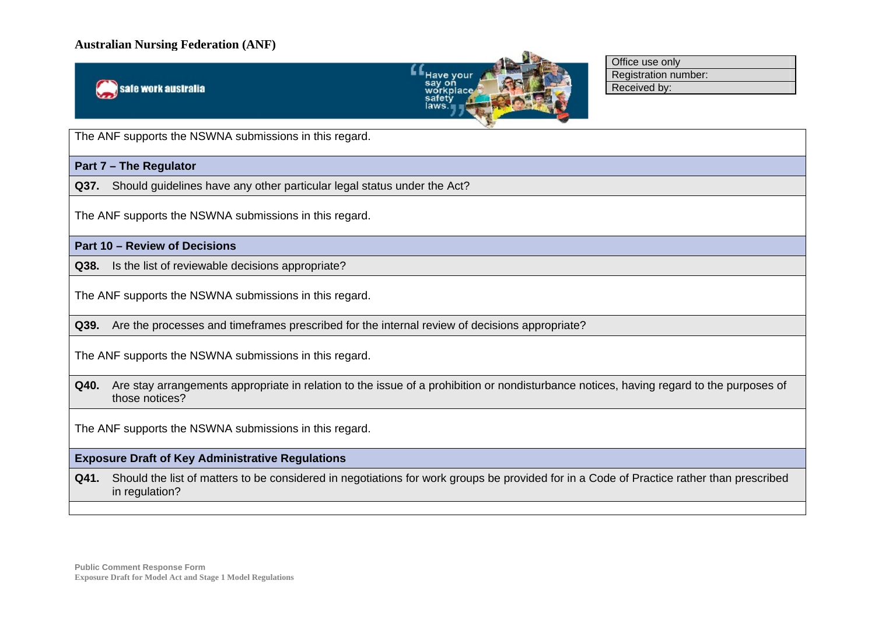



Office use only Registration number: Received by:

The ANF supports the NSWNA submissions in this regard.

**Part 7 – The Regulator** 

**Q37.** Should guidelines have any other particular legal status under the Act?

The ANF supports the NSWNA submissions in this regard.

### **Part 10 – Review of Decisions**

**Q38.** Is the list of reviewable decisions appropriate?

The ANF supports the NSWNA submissions in this regard.

**Q39.** Are the processes and timeframes prescribed for the internal review of decisions appropriate?

The ANF supports the NSWNA submissions in this regard.

**Q40.** Are stay arrangements appropriate in relation to the issue of a prohibition or nondisturbance notices, having regard to the purposes of those notices?

The ANF supports the NSWNA submissions in this regard.

#### **Exposure Draft of Key Administrative Regulations**

**Q41.** Should the list of matters to be considered in negotiations for work groups be provided for in a Code of Practice rather than prescribed in regulation?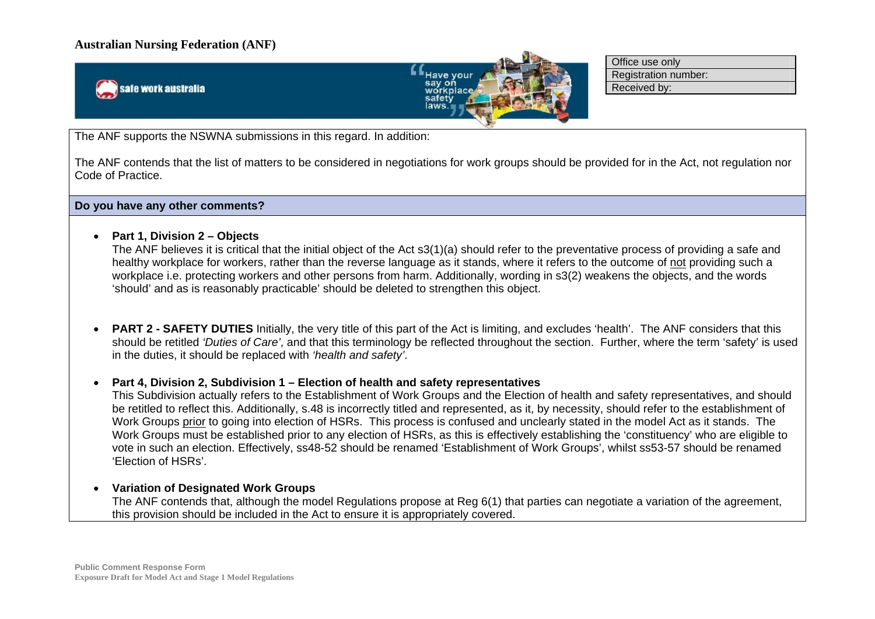safe work australia



Office use only Registration number: Received by:

The ANF supports the NSWNA submissions in this regard. In addition:

The ANF contends that the list of matters to be considered in negotiations for work groups should be provided for in the Act, not regulation nor Code of Practice.

**Do you have any other comments?**

**Part 1, Division 2 – Objects** 

The ANF believes it is critical that the initial object of the Act s3(1)(a) should refer to the preventative process of providing a safe and healthy workplace for workers, rather than the reverse language as it stands, where it refers to the outcome of not providing such a workplace i.e. protecting workers and other persons from harm. Additionally, wording in s3(2) weakens the objects, and the words 'should' and as is reasonably practicable' should be deleted to strengthen this object.

 $\bullet$  **PART 2 - SAFETY DUTIES** Initially, the very title of this part of the Act is limiting, and excludes 'health'. The ANF considers that this should be retitled *'Duties of Care'*, and that this terminology be reflected throughout the section. Further, where the term 'safety' is used in the duties, it should be replaced with *'health and safety'*.

**Part 4, Division 2, Subdivision 1 – Election of health and safety representatives** 

This Subdivision actually refers to the Establishment of Work Groups and the Election of health and safety representatives, and should be retitled to reflect this. Additionally, s.48 is incorrectly titled and represented, as it, by necessity, should refer to the establishment of Work Groups prior to going into election of HSRs. This process is confused and unclearly stated in the model Act as it stands. The Work Groups must be established prior to any election of HSRs, as this is effectively establishing the 'constituency' who are eligible to vote in such an election. Effectively, ss48-52 should be renamed 'Establishment of Work Groups', whilst ss53-57 should be renamed 'Election of HSRs'.

**Variation of Designated Work Groups** 

The ANF contends that, although the model Regulations propose at Reg 6(1) that parties can negotiate a variation of the agreement, this provision should be included in the Act to ensure it is appropriately covered.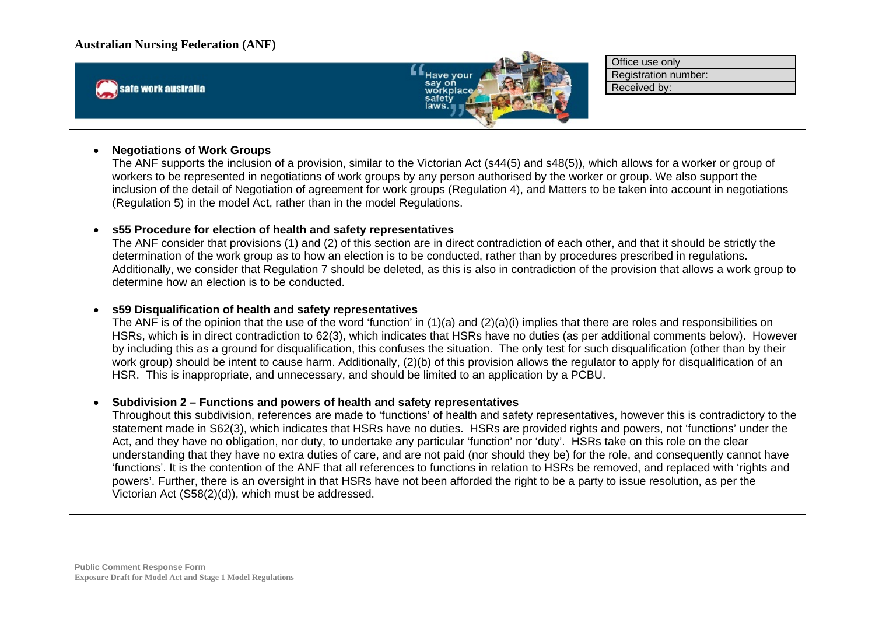



Office use only Registration number: Received by:

#### . **Negotiations of Work Groups**

The ANF supports the inclusion of a provision, similar to the Victorian Act (s44(5) and s48(5)), which allows for a worker or group of workers to be represented in negotiations of work groups by any person authorised by the worker or group. We also support the inclusion of the detail of Negotiation of agreement for work groups (Regulation 4), and Matters to be taken into account in negotiations (Regulation 5) in the model Act, rather than in the model Regulations.

#### **s55 Procedure for election of health and safety representatives**

The ANF consider that provisions (1) and (2) of this section are in direct contradiction of each other, and that it should be strictly the determination of the work group as to how an election is to be conducted, rather than by procedures prescribed in regulations. Additionally, we consider that Regulation 7 should be deleted, as this is also in contradiction of the provision that allows a work group to determine how an election is to be conducted.

#### **s59 Disqualification of health and safety representatives**

The ANF is of the opinion that the use of the word 'function' in (1)(a) and (2)(a)(i) implies that there are roles and responsibilities on HSRs, which is in direct contradiction to 62(3), which indicates that HSRs have no duties (as per additional comments below). However by including this as a ground for disqualification, this confuses the situation. The only test for such disqualification (other than by their work group) should be intent to cause harm. Additionally, (2)(b) of this provision allows the regulator to apply for disqualification of an HSR. This is inappropriate, and unnecessary, and should be limited to an application by a PCBU.

#### $\bullet$ **Subdivision 2 – Functions and powers of health and safety representatives**

Throughout this subdivision, references are made to 'functions' of health and safety representatives, however this is contradictory to the statement made in S62(3), which indicates that HSRs have no duties. HSRs are provided rights and powers, not 'functions' under the Act, and they have no obligation, nor duty, to undertake any particular 'function' nor 'duty'. HSRs take on this role on the clear understanding that they have no extra duties of care, and are not paid (nor should they be) for the role, and consequently cannot have 'functions'. It is the contention of the ANF that all references to functions in relation to HSRs be removed, and replaced with 'rights and powers'. Further, there is an oversight in that HSRs have not been afforded the right to be a party to issue resolution, as per the Victorian Act (S58(2)(d)), which must be addressed.